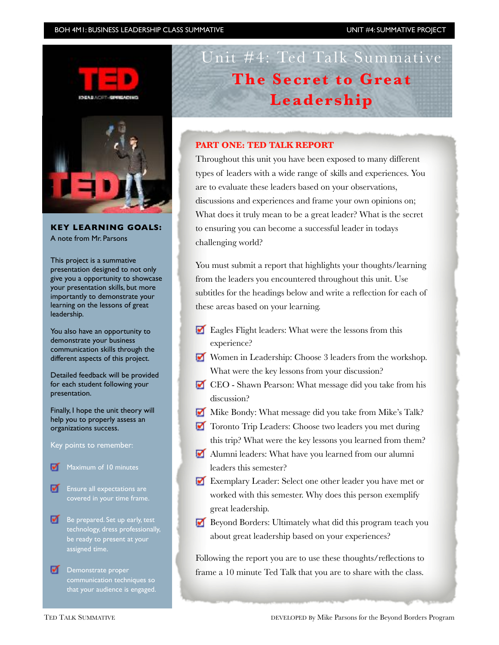#### BOH 4M1: BUSINESS LEADERSHIP CLASS SUMMATIVE UNIT #4: SUMMATIVE PROJECT



## **KEY LEARNING GOALS:** A note from Mr. Parsons

This project is a summative presentation designed to not only give you a opportunity to showcase your presentation skills, but more importantly to demonstrate your learning on the lessons of great leadership.

You also have an opportunity to demonstrate your business communication skills through the different aspects of this project.

Detailed feedback will be provided for each student following your presentation.

Finally, I hope the unit theory will help you to properly assess an organizations success.

Key points to remember:

- Maximum of 10 minutes
- Ensure all expectations are
- $\blacksquare$  Be prepared. Set up early, test technology, dress professionally, be ready to present at your assigned time.
- Demonstrate proper communication techniques so that your audience is engaged.

# Unit #4: Ted Talk Summative **The Secret to Great Leadership**

### **PART ONE: TED TALK REPORT**

Throughout this unit you have been exposed to many different types of leaders with a wide range of skills and experiences. You are to evaluate these leaders based on your observations, discussions and experiences and frame your own opinions on; What does it truly mean to be a great leader? What is the secret to ensuring you can become a successful leader in todays challenging world?

You must submit a report that highlights your thoughts/learning from the leaders you encountered throughout this unit. Use subtitles for the headings below and write a reflection for each of these areas based on your learning.

- Eagles Flight leaders: What were the lessons from this experience?
- Women in Leadership: Choose 3 leaders from the workshop. What were the key lessons from your discussion?
- CEO Shawn Pearson: What message did you take from his discussion?
- Mike Bondy: What message did you take from Mike's Talk?
- **T** Toronto Trip Leaders: Choose two leaders you met during this trip? What were the key lessons you learned from them?
- Alumni leaders: What have you learned from our alumni leaders this semester?
- Exemplary Leader: Select one other leader you have met or worked with this semester. Why does this person exemplify great leadership.
- Beyond Borders: Ultimately what did this program teach you about great leadership based on your experiences?

Following the report you are to use these thoughts/reflections to frame a 10 minute Ted Talk that you are to share with the class.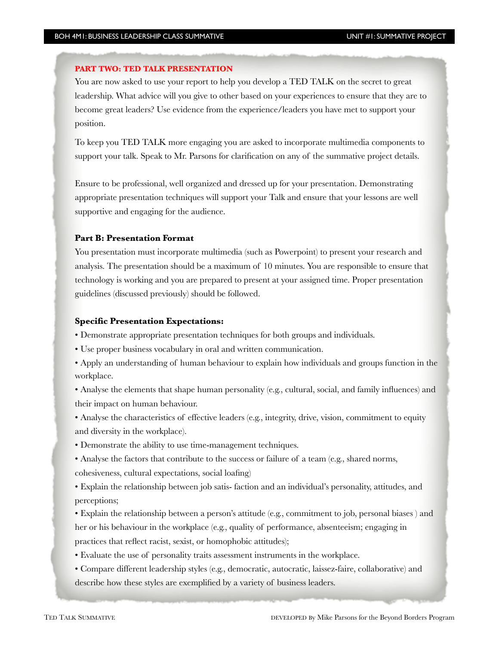#### **PART TWO: TED TALK PRESENTATION**

You are now asked to use your report to help you develop a TED TALK on the secret to great leadership. What advice will you give to other based on your experiences to ensure that they are to become great leaders? Use evidence from the experience/leaders you have met to support your position.

To keep you TED TALK more engaging you are asked to incorporate multimedia components to support your talk. Speak to Mr. Parsons for clarification on any of the summative project details.

Ensure to be professional, well organized and dressed up for your presentation. Demonstrating appropriate presentation techniques will support your Talk and ensure that your lessons are well supportive and engaging for the audience.

#### **Part B: Presentation Format**

You presentation must incorporate multimedia (such as Powerpoint) to present your research and analysis. The presentation should be a maximum of 10 minutes. You are responsible to ensure that technology is working and you are prepared to present at your assigned time. Proper presentation guidelines (discussed previously) should be followed.

#### **Specific Presentation Expectations:**

• Demonstrate appropriate presentation techniques for both groups and individuals.

- Use proper business vocabulary in oral and written communication.
- Apply an understanding of human behaviour to explain how individuals and groups function in the workplace.

• Analyse the elements that shape human personality (e.g., cultural, social, and family influences) and their impact on human behaviour.

• Analyse the characteristics of effective leaders (e.g., integrity, drive, vision, commitment to equity and diversity in the workplace).

• Demonstrate the ability to use time-management techniques.

• Analyse the factors that contribute to the success or failure of a team (e.g., shared norms, cohesiveness, cultural expectations, social loafing)

• Explain the relationship between job satis- faction and an individual's personality, attitudes, and perceptions;

• Explain the relationship between a person's attitude (e.g., commitment to job, personal biases ) and her or his behaviour in the workplace (e.g., quality of performance, absenteeism; engaging in practices that reflect racist, sexist, or homophobic attitudes);

- Evaluate the use of personality traits assessment instruments in the workplace.
- Compare different leadership styles (e.g., democratic, autocratic, laissez-faire, collaborative) and describe how these styles are exemplified by a variety of business leaders.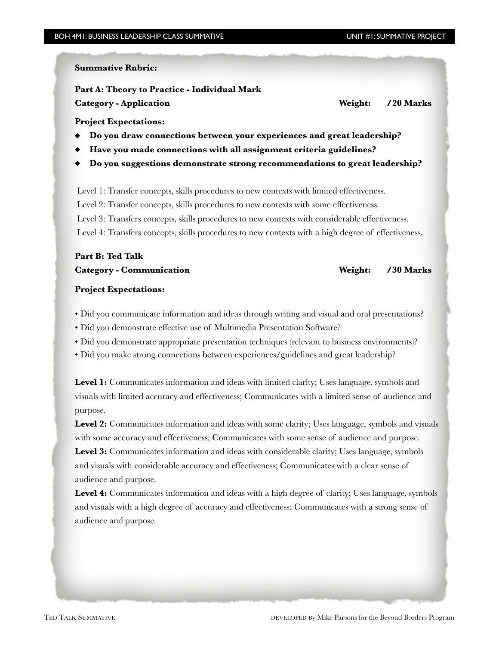#### **Summative Rubric:**

**Part A: Theory to Practice - Individual Mark Category - Application**  *Category - Application Category - Application Meight: /20 Marks**/20 Marks**/ 20 Marks**/ 20 Marks**/ 20 Marks**/ 20 Marks**/ 20 Marks**/ 20 Marks**/ 20 Marks**/ 20 Marks**/ 20* 

#### **Project Expectations:**

- **Do you draw connections between your experiences and great leadership?**
- **Have you made connections with all assignment criteria guidelines?**
- **Do you suggestions demonstrate strong recommendations to great leadership?**

Level 1: Transfer concepts, skills procedures to new contexts with limited effectiveness. Level 2: Transfer concepts, skills procedures to new contexts with some effectiveness. Level 3: Transfers concepts, skills procedures to new contexts with considerable effectiveness. Level 4: Transfers concepts, skills procedures to new contexts with a high degree of effectiveness.

## **Part B: Ted Talk** Category - Communication *Category - Communication Category - Communication*

#### **Project Expectations:**

- Did you communicate information and ideas through writing and visual and oral presentations?
- Did you demonstrate effective use of Multimedia Presentation Software?
- Did you demonstrate appropriate presentation techniques (relevant to business environments)?
- Did you make strong connections between experiences/guidelines and great leadership?

**Level 1:** Communicates information and ideas with limited clarity; Uses language, symbols and visuals with limited accuracy and effectiveness; Communicates with a limited sense of audience and purpose.

Level 2: Communicates information and ideas with some clarity; Uses language, symbols and visuals with some accuracy and effectiveness; Communicates with some sense of audience and purpose.

Level 3: Communicates information and ideas with considerable clarity; Uses language, symbols and visuals with considerable accuracy and effectiveness; Communicates with a clear sense of audience and purpose.

Level 4: Communicates information and ideas with a high degree of clarity; Uses language, symbols and visuals with a high degree of accuracy and effectiveness; Communicates with a strong sense of audience and purpose.